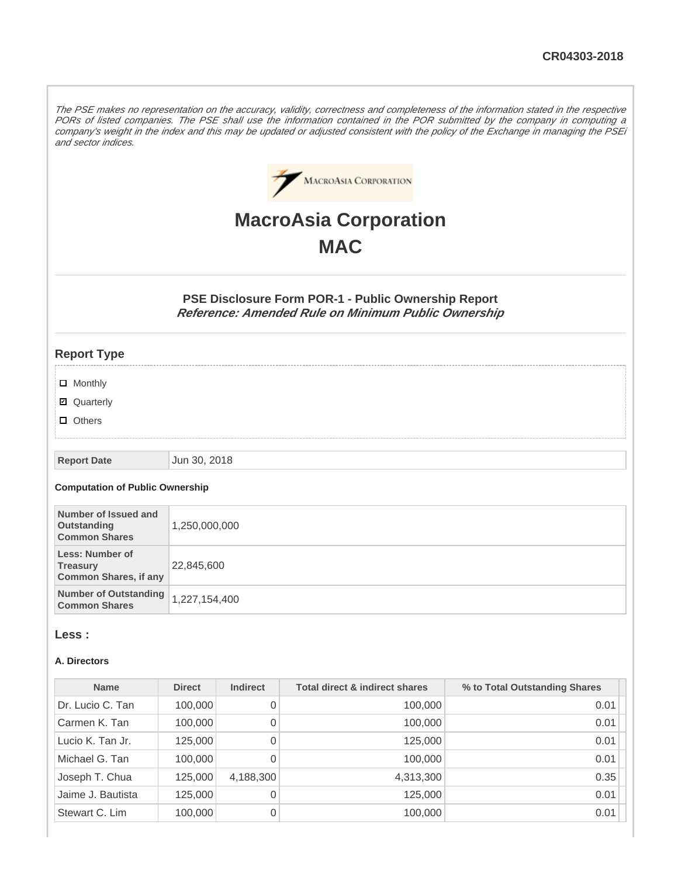The PSE makes no representation on the accuracy, validity, correctness and completeness of the information stated in the respective PORs of listed companies. The PSE shall use the information contained in the POR submitted by the company in computing a company's weight in the index and this may be updated or adjusted consistent with the policy of the Exchange in managing the PSEi and sector indices.



# **MacroAsia Corporation MAC**

**PSE Disclosure Form POR-1 - Public Ownership Report Reference: Amended Rule on Minimum Public Ownership**

# **Report Type**

- **D** Monthly
- Quarterly
- **D** Others

#### **Report Date** Jun 30, 2018

#### **Computation of Public Ownership**

| Number of Issued and<br>Outstanding<br><b>Common Shares</b>               | 1,250,000,000 |
|---------------------------------------------------------------------------|---------------|
| <b>Less: Number of</b><br><b>Treasury</b><br><b>Common Shares, if any</b> | 22,845,600    |
| <b>Number of Outstanding</b><br><b>Common Shares</b>                      | 1,227,154,400 |

#### **Less :**

#### **A. Directors**

| <b>Name</b>       | <b>Direct</b> | <b>Indirect</b> | <b>Total direct &amp; indirect shares</b> | % to Total Outstanding Shares |
|-------------------|---------------|-----------------|-------------------------------------------|-------------------------------|
| Dr. Lucio C. Tan  | 100,000       | 0               | 100,000                                   | 0.01                          |
| Carmen K. Tan     | 100,000       | 0               | 100,000                                   | 0.01                          |
| Lucio K. Tan Jr.  | 125,000       | 0               | 125,000                                   | 0.01                          |
| Michael G. Tan    | 100,000       | 0               | 100,000                                   | 0.01                          |
| Joseph T. Chua    | 125,000       | 4,188,300       | 4,313,300                                 | 0.35                          |
| Jaime J. Bautista | 125,000       | 0               | 125,000                                   | 0.01                          |
| Stewart C. Lim    | 100,000       | 0               | 100,000                                   | 0.01                          |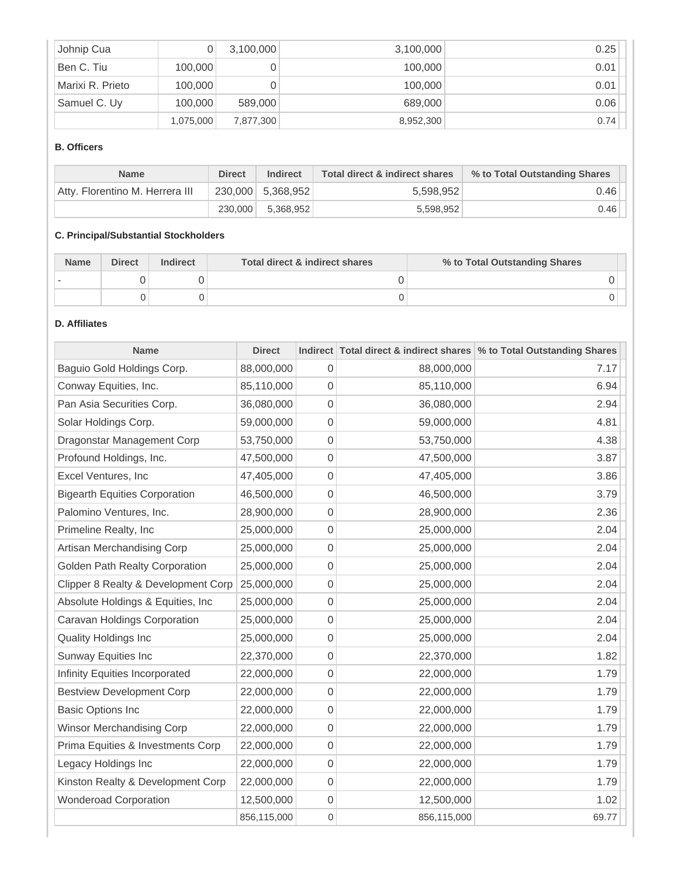| Johnip Cua       | D         | 3,100,000 | 3,100,000 | 0.25 |
|------------------|-----------|-----------|-----------|------|
| Ben C. Tiu       | 100,000   |           | 100,000   | 0.01 |
| Marixi R. Prieto | 100,000   |           | 100,000   | 0.01 |
| Samuel C. Uy     | 100,000   | 589,000   | 689,000   | 0.06 |
|                  | 1,075,000 | 7,877,300 | 8,952,300 | 0.74 |

# **B. Officers**

| <b>Name</b>                     | <b>Direct</b> | <b>Indirect</b>   | Total direct & indirect shares | % to Total Outstanding Shares |
|---------------------------------|---------------|-------------------|--------------------------------|-------------------------------|
| Atty, Florentino M. Herrera III |               | 230,000 5,368,952 | 5,598,952                      | 0.46                          |
|                                 | 230,000       | 5.368.952         | 5.598.952                      | 0.46                          |

# **C. Principal/Substantial Stockholders**

| <b>Name</b> | <b>Direct</b> | <b>Indirect</b> | Total direct & indirect shares | % to Total Outstanding Shares |
|-------------|---------------|-----------------|--------------------------------|-------------------------------|
|             |               |                 |                                |                               |
|             |               |                 |                                |                               |

# **D. Affiliates**

| <b>Name</b>                           | <b>Direct</b> |             |             | Indirect Total direct & indirect shares % to Total Outstanding Shares |
|---------------------------------------|---------------|-------------|-------------|-----------------------------------------------------------------------|
| Baguio Gold Holdings Corp.            | 88,000,000    | 0           | 88,000,000  | 7.17                                                                  |
| Conway Equities, Inc.                 | 85,110,000    | 0           | 85,110,000  | 6.94                                                                  |
| Pan Asia Securities Corp.             | 36,080,000    | 0           | 36,080,000  | 2.94                                                                  |
| Solar Holdings Corp.                  | 59,000,000    | 0           | 59,000,000  | 4.81                                                                  |
| Dragonstar Management Corp            | 53,750,000    | 0           | 53,750,000  | 4.38                                                                  |
| Profound Holdings, Inc.               | 47,500,000    | 0           | 47,500,000  | 3.87                                                                  |
| Excel Ventures, Inc                   | 47,405,000    | 0           | 47,405,000  | 3.86                                                                  |
| <b>Bigearth Equities Corporation</b>  | 46,500,000    | 0           | 46,500,000  | 3.79                                                                  |
| Palomino Ventures, Inc.               | 28,900,000    | 0           | 28,900,000  | 2.36                                                                  |
| Primeline Realty, Inc                 | 25,000,000    | 0           | 25,000,000  | 2.04                                                                  |
| Artisan Merchandising Corp            | 25,000,000    | 0           | 25,000,000  | 2.04                                                                  |
| <b>Golden Path Realty Corporation</b> | 25,000,000    | 0           | 25,000,000  | 2.04                                                                  |
| Clipper 8 Realty & Development Corp   | 25,000,000    | 0           | 25,000,000  | 2.04                                                                  |
| Absolute Holdings & Equities, Inc     | 25,000,000    | 0           | 25,000,000  | 2.04                                                                  |
| Caravan Holdings Corporation          | 25,000,000    | 0           | 25,000,000  | 2.04                                                                  |
| <b>Quality Holdings Inc</b>           | 25,000,000    | 0           | 25,000,000  | 2.04                                                                  |
| Sunway Equities Inc                   | 22,370,000    | 0           | 22,370,000  | 1.82                                                                  |
| Infinity Equities Incorporated        | 22,000,000    | 0           | 22,000,000  | 1.79                                                                  |
| <b>Bestview Development Corp</b>      | 22,000,000    | 0           | 22,000,000  | 1.79                                                                  |
| <b>Basic Options Inc</b>              | 22,000,000    | 0           | 22,000,000  | 1.79                                                                  |
| <b>Winsor Merchandising Corp</b>      | 22,000,000    | 0           | 22,000,000  | 1.79                                                                  |
| Prima Equities & Investments Corp     | 22,000,000    | 0           | 22,000,000  | 1.79                                                                  |
| Legacy Holdings Inc                   | 22,000,000    | 0           | 22,000,000  | 1.79                                                                  |
| Kinston Realty & Development Corp     | 22,000,000    | 0           | 22,000,000  | 1.79                                                                  |
| <b>Wonderoad Corporation</b>          | 12,500,000    | 0           | 12,500,000  | 1.02                                                                  |
|                                       | 856,115,000   | $\mathbf 0$ | 856,115,000 | 69.77                                                                 |